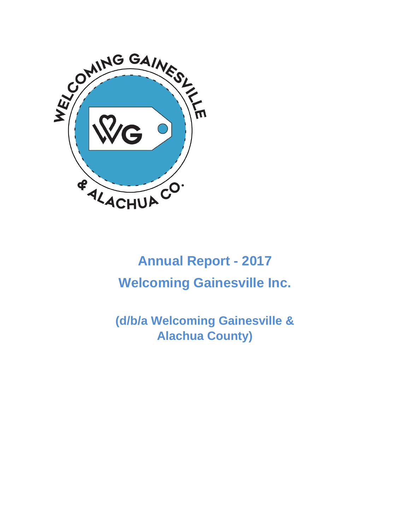

# **Annual Report - 2017 Welcoming Gainesville Inc.**

**(d/b/a Welcoming Gainesville & Alachua County)**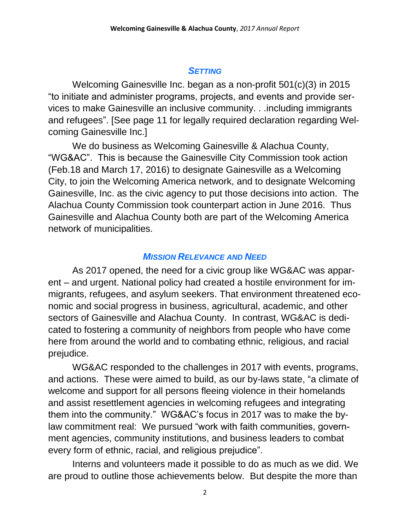#### *SETTING*

Welcoming Gainesville Inc. began as a non-profit 501(c)(3) in 2015 "to initiate and administer programs, projects, and events and provide services to make Gainesville an inclusive community. . .including immigrants and refugees". [See page 11 for legally required declaration regarding Welcoming Gainesville Inc.]

We do business as Welcoming Gainesville & Alachua County, "WG&AC". This is because the Gainesville City Commission took action (Feb.18 and March 17, 2016) to designate Gainesville as a Welcoming City, to join the Welcoming America network, and to designate Welcoming Gainesville, Inc. as the civic agency to put those decisions into action. The Alachua County Commission took counterpart action in June 2016. Thus Gainesville and Alachua County both are part of the Welcoming America network of municipalities.

#### *MISSION RELEVANCE AND NEED*

As 2017 opened, the need for a civic group like WG&AC was apparent – and urgent. National policy had created a hostile environment for immigrants, refugees, and asylum seekers. That environment threatened economic and social progress in business, agricultural, academic, and other sectors of Gainesville and Alachua County. In contrast, WG&AC is dedicated to fostering a community of neighbors from people who have come here from around the world and to combating ethnic, religious, and racial prejudice.

WG&AC responded to the challenges in 2017 with events, programs, and actions. These were aimed to build, as our by-laws state, "a climate of welcome and support for all persons fleeing violence in their homelands and assist resettlement agencies in welcoming refugees and integrating them into the community." WG&AC's focus in 2017 was to make the bylaw commitment real: We pursued "work with faith communities, government agencies, community institutions, and business leaders to combat every form of ethnic, racial, and religious prejudice".

Interns and volunteers made it possible to do as much as we did. We are proud to outline those achievements below. But despite the more than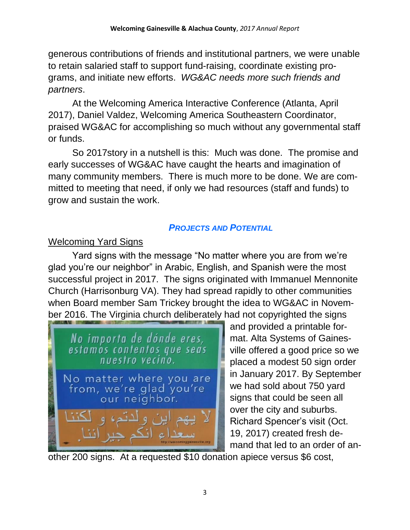generous contributions of friends and institutional partners, we were unable to retain salaried staff to support fund-raising, coordinate existing programs, and initiate new efforts. *WG&AC needs more such friends and partners*.

At the Welcoming America Interactive Conference (Atlanta, April 2017), Daniel Valdez, Welcoming America Southeastern Coordinator, praised WG&AC for accomplishing so much without any governmental staff or funds.

So 2017story in a nutshell is this: Much was done. The promise and early successes of WG&AC have caught the hearts and imagination of many community members. There is much more to be done. We are committed to meeting that need, if only we had resources (staff and funds) to grow and sustain the work.

## *PROJECTS AND POTENTIAL*

## Welcoming Yard Signs

Yard signs with the message "No matter where you are from we're glad you're our neighbor" in Arabic, English, and Spanish were the most successful project in 2017. The signs originated with Immanuel Mennonite Church (Harrisonburg VA). They had spread rapidly to other communities when Board member Sam Trickey brought the idea to WG&AC in November 2016. The Virginia church deliberately had not copyrighted the signs



and provided a printable format. Alta Systems of Gainesville offered a good price so we placed a modest 50 sign order in January 2017. By September we had sold about 750 yard signs that could be seen all over the city and suburbs. Richard Spencer's visit (Oct. 19, 2017) created fresh demand that led to an order of an-

other 200 signs. At a requested \$10 donation apiece versus \$6 cost,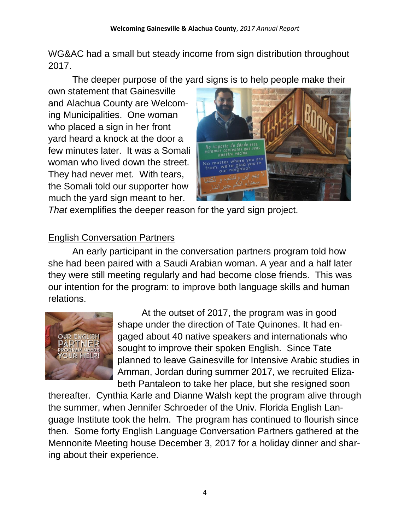WG&AC had a small but steady income from sign distribution throughout 2017.

The deeper purpose of the yard signs is to help people make their

own statement that Gainesville and Alachua County are Welcoming Municipalities. One woman who placed a sign in her front yard heard a knock at the door a few minutes later. It was a Somali woman who lived down the street. They had never met. With tears, the Somali told our supporter how much the yard sign meant to her.



*That* exemplifies the deeper reason for the yard sign project.

## English Conversation Partners

An early participant in the conversation partners program told how she had been paired with a Saudi Arabian woman. A year and a half later they were still meeting regularly and had become close friends. This was our intention for the program: to improve both language skills and human relations.



At the outset of 2017, the program was in good shape under the direction of Tate Quinones. It had engaged about 40 native speakers and internationals who sought to improve their spoken English. Since Tate planned to leave Gainesville for Intensive Arabic studies in Amman, Jordan during summer 2017, we recruited Elizabeth Pantaleon to take her place, but she resigned soon

thereafter. Cynthia Karle and Dianne Walsh kept the program alive through the summer, when Jennifer Schroeder of the Univ. Florida English Language Institute took the helm. The program has continued to flourish since then. Some forty English Language Conversation Partners gathered at the Mennonite Meeting house December 3, 2017 for a holiday dinner and sharing about their experience.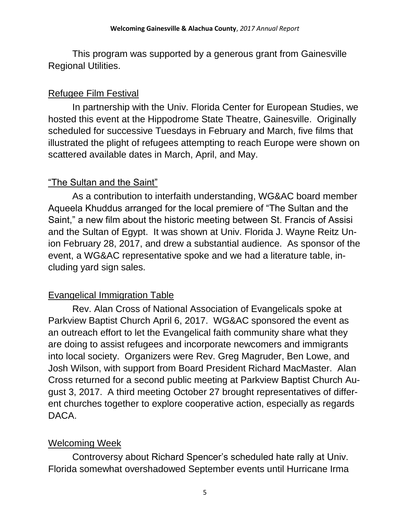This program was supported by a generous grant from Gainesville Regional Utilities.

#### Refugee Film Festival

In partnership with the Univ. Florida Center for European Studies, we hosted this event at the Hippodrome State Theatre, Gainesville. Originally scheduled for successive Tuesdays in February and March, five films that illustrated the plight of refugees attempting to reach Europe were shown on scattered available dates in March, April, and May.

#### "The Sultan and the Saint"

As a contribution to interfaith understanding, WG&AC board member Aqueela Khuddus arranged for the local premiere of "The Sultan and the Saint," a new film about the historic meeting between St. Francis of Assisi and the Sultan of Egypt. It was shown at Univ. Florida J. Wayne Reitz Union February 28, 2017, and drew a substantial audience. As sponsor of the event, a WG&AC representative spoke and we had a literature table, including yard sign sales.

## Evangelical Immigration Table

Rev. Alan Cross of National Association of Evangelicals spoke at Parkview Baptist Church April 6, 2017. WG&AC sponsored the event as an outreach effort to let the Evangelical faith community share what they are doing to assist refugees and incorporate newcomers and immigrants into local society. Organizers were Rev. Greg Magruder, Ben Lowe, and Josh Wilson, with support from Board President Richard MacMaster. Alan Cross returned for a second public meeting at Parkview Baptist Church August 3, 2017. A third meeting October 27 brought representatives of different churches together to explore cooperative action, especially as regards DACA.

## Welcoming Week

Controversy about Richard Spencer's scheduled hate rally at Univ. Florida somewhat overshadowed September events until Hurricane Irma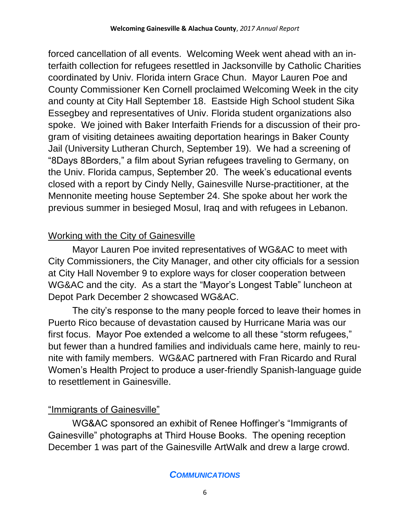forced cancellation of all events. Welcoming Week went ahead with an interfaith collection for refugees resettled in Jacksonville by Catholic Charities coordinated by Univ. Florida intern Grace Chun. Mayor Lauren Poe and County Commissioner Ken Cornell proclaimed Welcoming Week in the city and county at City Hall September 18. Eastside High School student Sika Essegbey and representatives of Univ. Florida student organizations also spoke. We joined with Baker Interfaith Friends for a discussion of their program of visiting detainees awaiting deportation hearings in Baker County Jail (University Lutheran Church, September 19). We had a screening of "8Days 8Borders," a film about Syrian refugees traveling to Germany, on the Univ. Florida campus, September 20. The week's educational events closed with a report by Cindy Nelly, Gainesville Nurse-practitioner, at the Mennonite meeting house September 24. She spoke about her work the previous summer in besieged Mosul, Iraq and with refugees in Lebanon.

## Working with the City of Gainesville

Mayor Lauren Poe invited representatives of WG&AC to meet with City Commissioners, the City Manager, and other city officials for a session at City Hall November 9 to explore ways for closer cooperation between WG&AC and the city. As a start the "Mayor's Longest Table" luncheon at Depot Park December 2 showcased WG&AC.

The city's response to the many people forced to leave their homes in Puerto Rico because of devastation caused by Hurricane Maria was our first focus. Mayor Poe extended a welcome to all these "storm refugees," but fewer than a hundred families and individuals came here, mainly to reunite with family members. WG&AC partnered with Fran Ricardo and Rural Women's Health Project to produce a user-friendly Spanish-language guide to resettlement in Gainesville.

## "Immigrants of Gainesville"

WG&AC sponsored an exhibit of Renee Hoffinger's "Immigrants of Gainesville" photographs at Third House Books. The opening reception December 1 was part of the Gainesville ArtWalk and drew a large crowd.

#### *COMMUNICATIONS*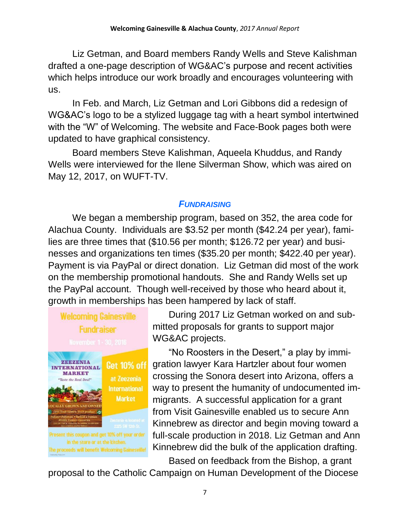Liz Getman, and Board members Randy Wells and Steve Kalishman drafted a one-page description of WG&AC's purpose and recent activities which helps introduce our work broadly and encourages volunteering with us.

In Feb. and March, Liz Getman and Lori Gibbons did a redesign of WG&AC's logo to be a stylized luggage tag with a heart symbol intertwined with the "W" of Welcoming. The website and Face-Book pages both were updated to have graphical consistency.

Board members Steve Kalishman, Aqueela Khuddus, and Randy Wells were interviewed for the Ilene Silverman Show, which was aired on May 12, 2017, on WUFT-TV.

#### *FUNDRAISING*

We began a membership program, based on 352, the area code for Alachua County. Individuals are \$3.52 per month (\$42.24 per year), families are three times that (\$10.56 per month; \$126.72 per year) and businesses and organizations ten times (\$35.20 per month; \$422.40 per year). Payment is via PayPal or direct donation. Liz Getman did most of the work on the membership promotional handouts. She and Randy Wells set up the PayPal account. Though well-received by those who heard about it, growth in memberships has been hampered by lack of staff.



During 2017 Liz Getman worked on and submitted proposals for grants to support major WG&AC projects.

"No Roosters in the Desert," a play by immigration lawyer Kara Hartzler about four women crossing the Sonora desert into Arizona, offers a way to present the humanity of undocumented immigrants. A successful application for a grant from Visit Gainesville enabled us to secure Ann Kinnebrew as director and begin moving toward a full-scale production in 2018. Liz Getman and Ann Kinnebrew did the bulk of the application drafting.

Based on feedback from the Bishop, a grant

proposal to the Catholic Campaign on Human Development of the Diocese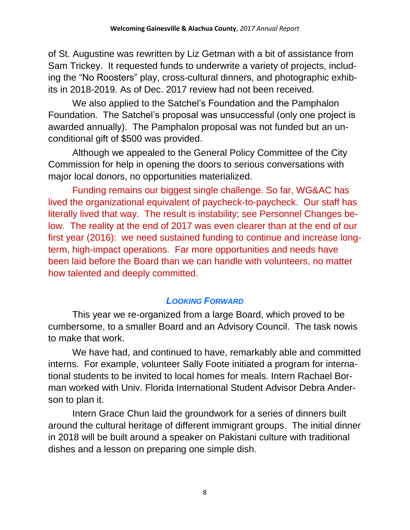of St. Augustine was rewritten by Liz Getman with a bit of assistance from Sam Trickey. It requested funds to underwrite a variety of projects, including the "No Roosters" play, cross-cultural dinners, and photographic exhibits in 2018-2019. As of Dec. 2017 review had not been received.

We also applied to the Satchel's Foundation and the Pamphalon Foundation. The Satchel's proposal was unsuccessful (only one project is awarded annually). The Pamphalon proposal was not funded but an unconditional gift of \$500 was provided.

Although we appealed to the General Policy Committee of the City Commission for help in opening the doors to serious conversations with major local donors, no opportunities materialized.

Funding remains our biggest single challenge. So far, WG&AC has lived the organizational equivalent of paycheck-to-paycheck. Our staff has literally lived that way. The result is instability; see Personnel Changes below. The reality at the end of 2017 was even clearer than at the end of our first year (2016): we need sustained funding to continue and increase longterm, high-impact operations. Far more opportunities and needs have been laid before the Board than we can handle with volunteers, no matter how talented and deeply committed.

## *LOOKING FORWARD*

This year we re-organized from a large Board, which proved to be cumbersome, to a smaller Board and an Advisory Council. The task nowis to make that work.

We have had, and continued to have, remarkably able and committed interns. For example, volunteer Sally Foote initiated a program for international students to be invited to local homes for meals. Intern Rachael Borman worked with Univ. Florida International Student Advisor Debra Anderson to plan it.

Intern Grace Chun laid the groundwork for a series of dinners built around the cultural heritage of different immigrant groups. The initial dinner in 2018 will be built around a speaker on Pakistani culture with traditional dishes and a lesson on preparing one simple dish.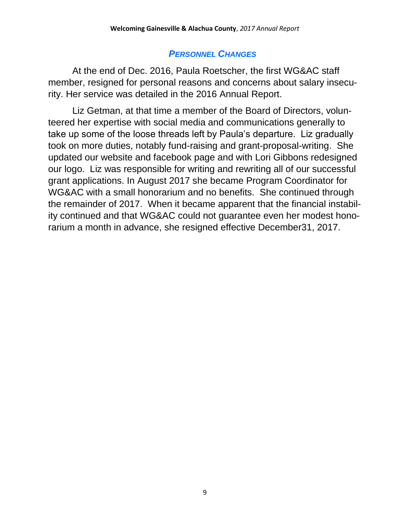#### *PERSONNEL CHANGES*

At the end of Dec. 2016, Paula Roetscher, the first WG&AC staff member, resigned for personal reasons and concerns about salary insecurity. Her service was detailed in the 2016 Annual Report.

Liz Getman, at that time a member of the Board of Directors, volunteered her expertise with social media and communications generally to take up some of the loose threads left by Paula's departure. Liz gradually took on more duties, notably fund-raising and grant-proposal-writing. She updated our website and facebook page and with Lori Gibbons redesigned our logo. Liz was responsible for writing and rewriting all of our successful grant applications. In August 2017 she became Program Coordinator for WG&AC with a small honorarium and no benefits. She continued through the remainder of 2017. When it became apparent that the financial instability continued and that WG&AC could not guarantee even her modest honorarium a month in advance, she resigned effective December31, 2017.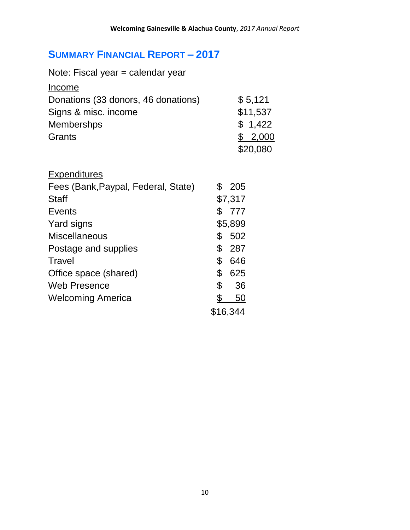## **SUMMARY FINANCIAL REPORT – 2017**

| Note: Fiscal year = calendar year   |           |           |          |  |
|-------------------------------------|-----------|-----------|----------|--|
| Income                              |           |           |          |  |
| Donations (33 donors, 46 donations) |           |           | \$5,121  |  |
| Signs & misc. income                |           | \$11,537  |          |  |
| <b>Membershps</b>                   |           |           | \$1,422  |  |
| Grants                              |           |           | \$2,000  |  |
|                                     |           |           | \$20,080 |  |
| <b>Expenditures</b>                 |           |           |          |  |
| Fees (Bank, Paypal, Federal, State) |           | \$ 205    |          |  |
| <b>Staff</b>                        |           | \$7,317   |          |  |
| <b>Events</b>                       |           | \$777     |          |  |
| Yard signs                          |           | \$5,899   |          |  |
| <b>Miscellaneous</b>                | \$        | 502       |          |  |
| Postage and supplies                |           | \$287     |          |  |
| Travel                              | \$        | 646       |          |  |
| Office space (shared)               | \$        | 625       |          |  |
| <b>Web Presence</b>                 | \$        | 36        |          |  |
| <b>Welcoming America</b>            | <u>\$</u> | <u>50</u> |          |  |
|                                     |           | \$16,344  |          |  |